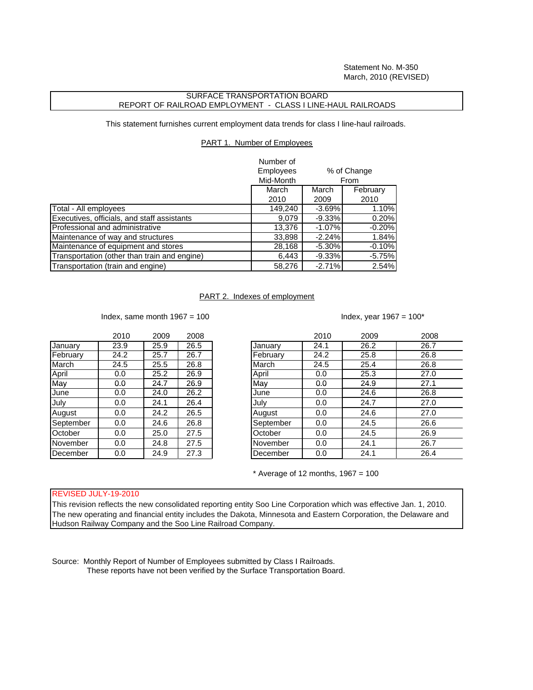Statement No. M-350 March, 2010 (REVISED)

# SURFACE TRANSPORTATION BOARD REPORT OF RAILROAD EMPLOYMENT - CLASS I LINE-HAUL RAILROADS

This statement furnishes current employment data trends for class I line-haul railroads.

# PART 1. Number of Employees

|                                              | Number of<br><b>Employees</b> |           | % of Change |
|----------------------------------------------|-------------------------------|-----------|-------------|
|                                              | Mid-Month                     |           | From        |
|                                              | March                         | March     | February    |
|                                              | 2010                          | 2009      | 2010        |
| Total - All employees                        | 149,240                       | $-3.69%$  | 1.10%       |
| Executives, officials, and staff assistants  | 9,079                         | $-9.33%$  | 0.20%       |
| Professional and administrative              | 13,376                        | $-1.07%$  | $-0.20%$    |
| Maintenance of way and structures            | 33,898                        | $-2.24%$  | 1.84%       |
| Maintenance of equipment and stores          | 28,168                        | $-5.30\%$ | $-0.10%$    |
| Transportation (other than train and engine) | 6,443                         | $-9.33%$  | $-5.75%$    |
| Transportation (train and engine)            | 58,276                        | $-2.71%$  | 2.54%       |

### PART 2. Indexes of employment

Index, same month  $1967 = 100$  Index, year  $1967 = 100^*$ 

|           | 2010 | 2009 | 2008 |
|-----------|------|------|------|
| January   | 23.9 | 25.9 | 26.5 |
| February  | 24.2 | 25.7 | 26.7 |
| March     | 24.5 | 25.5 | 26.8 |
| April     | 0.0  | 25.2 | 26.9 |
| May       | 0.0  | 24.7 | 26.9 |
| June      | 0.0  | 24.0 | 26.2 |
| July      | 0.0  | 24.1 | 26.4 |
| August    | 0.0  | 24.2 | 26.5 |
| September | 0.0  | 24.6 | 26.8 |
| October   | 0.0  | 25.0 | 27.5 |
| November  | 0.0  | 24.8 | 27.5 |
| December  | 0.0  | 24.9 | 27.3 |

|           | 2010 | 2009 | 2008 |           | 2010 | 2009 | 2008 |
|-----------|------|------|------|-----------|------|------|------|
| January   | 23.9 | 25.9 | 26.5 | January   | 24.1 | 26.2 | 26.7 |
| February  | 24.2 | 25.7 | 26.7 | February  | 24.2 | 25.8 | 26.8 |
| March     | 24.5 | 25.5 | 26.8 | March     | 24.5 | 25.4 | 26.8 |
| April     | 0.0  | 25.2 | 26.9 | April     | 0.0  | 25.3 | 27.0 |
| May       | 0.0  | 24.7 | 26.9 | May       | 0.0  | 24.9 | 27.1 |
| June      | 0.0  | 24.0 | 26.2 | June      | 0.0  | 24.6 | 26.8 |
| July      | 0.0  | 24.1 | 26.4 | July      | 0.0  | 24.7 | 27.0 |
| August    | 0.0  | 24.2 | 26.5 | August    | 0.0  | 24.6 | 27.0 |
| September | 0.0  | 24.6 | 26.8 | September | 0.0  | 24.5 | 26.6 |
| October   | 0.0  | 25.0 | 27.5 | October   | 0.0  | 24.5 | 26.9 |
| November  | 0.0  | 24.8 | 27.5 | November  | 0.0  | 24.1 | 26.7 |
| December  | 0.0  | 24.9 | 27.3 | December  | 0.0  | 24.1 | 26.4 |
|           |      |      |      |           |      |      |      |

 $*$  Average of 12 months, 1967 = 100

## REVISED JULY-19-2010

This revision reflects the new consolidated reporting entity Soo Line Corporation which was effective Jan. 1, 2010. The new operating and financial entity includes the Dakota, Minnesota and Eastern Corporation, the Delaware and Hudson Railway Company and the Soo Line Railroad Company.

Source: Monthly Report of Number of Employees submitted by Class I Railroads. These reports have not been verified by the Surface Transportation Board.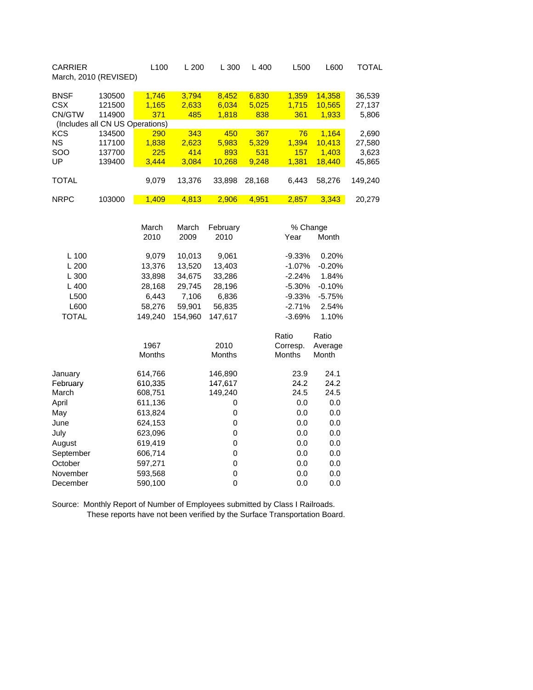| <b>CARRIER</b><br>March, 2010 (REVISED) |                                      | L <sub>100</sub>                      | L200                                   | L 300                                   | $L$ 400                                | L500                                 | L600                                                | TOTAL                                         |
|-----------------------------------------|--------------------------------------|---------------------------------------|----------------------------------------|-----------------------------------------|----------------------------------------|--------------------------------------|-----------------------------------------------------|-----------------------------------------------|
| <b>BNSF</b><br><b>CSX</b><br>CN/GTW     | 130500<br>121500<br>114900           | 1,746<br>1,165<br>371                 | 3,794<br>2,633<br>485                  | 8,452<br>6,034<br>1,818                 | 6,830<br>5,025<br>838                  | 1,359<br>1,715<br>361                | 14,358<br>10,565<br>1,933                           | 36,539<br>27,137<br>5,806                     |
|                                         | (Includes all CN US Operations)      |                                       |                                        |                                         |                                        |                                      |                                                     |                                               |
| KCS<br>NS.<br>SOO<br>UP<br>TOTAL        | 134500<br>117100<br>137700<br>139400 | 290<br>1,838<br>225<br>3,444<br>9,079 | 343<br>2,623<br>414<br>3,084<br>13,376 | 450<br>5,983<br>893<br>10,268<br>33,898 | 367<br>5,329<br>531<br>9,248<br>28,168 | 76<br>1,394<br>157<br>1,381<br>6,443 | 1.164<br>10,413<br>1.403<br><b>18,440</b><br>58,276 | 2,690<br>27,580<br>3,623<br>45,865<br>149,240 |
| <b>NRPC</b>                             | 103000                               | 1,409<br>March                        | 4,813<br>March                         | 2,906<br>February                       | 4,951                                  | 2,857<br>% Change                    | 3,343                                               | 20,279                                        |
|                                         |                                      | 2010                                  | 2009                                   | 2010                                    |                                        | Year                                 | Month                                               |                                               |

| $L$ 100      | 9,079         | 10,013  | 9,061         | $-9.33\%$     | 0.20%    |
|--------------|---------------|---------|---------------|---------------|----------|
| L200         | 13,376        | 13,520  | 13,403        | $-1.07%$      | $-0.20%$ |
| L300         | 33,898        | 34,675  | 33,286        | $-2.24%$      | 1.84%    |
| $L$ 400      | 28,168        | 29,745  | 28,196        | $-5.30%$      | $-0.10%$ |
| L500         | 6,443         | 7,106   | 6,836         | $-9.33%$      | $-5.75%$ |
| L600         | 58,276        | 59,901  | 56,835        | $-2.71%$      | 2.54%    |
| <b>TOTAL</b> | 149,240       | 154,960 | 147,617       | $-3.69%$      | 1.10%    |
|              |               |         |               | Ratio         | Ratio    |
|              | 1967          |         | 2010          | Corresp.      | Average  |
|              | <b>Months</b> |         | <b>Months</b> | <b>Months</b> | Month    |
| January      | 614,766       |         | 146,890       | 23.9          | 24.1     |
| February     | 610,335       |         | 147,617       | 24.2          | 24.2     |
| March        | 608,751       |         | 149,240       | 24.5          | 24.5     |
| April        | 611,136       |         | 0             | 0.0           | 0.0      |
| May          | 613,824       |         | 0             | 0.0           | 0.0      |
| June         | 624,153       |         | 0             | 0.0           | 0.0      |
| July         | 623,096       |         | 0             | 0.0           | 0.0      |
| August       | 619,419       |         | 0             | 0.0           | 0.0      |
| September    | 606,714       |         | 0             | 0.0           | 0.0      |
| October      | 597,271       |         | 0             | 0.0           | 0.0      |
| November     | 593,568       |         | 0             | 0.0           | 0.0      |
| December     | 590,100       |         | 0             | 0.0           | 0.0      |
|              |               |         |               |               |          |

Source: Monthly Report of Number of Employees submitted by Class I Railroads. These reports have not been verified by the Surface Transportation Board.